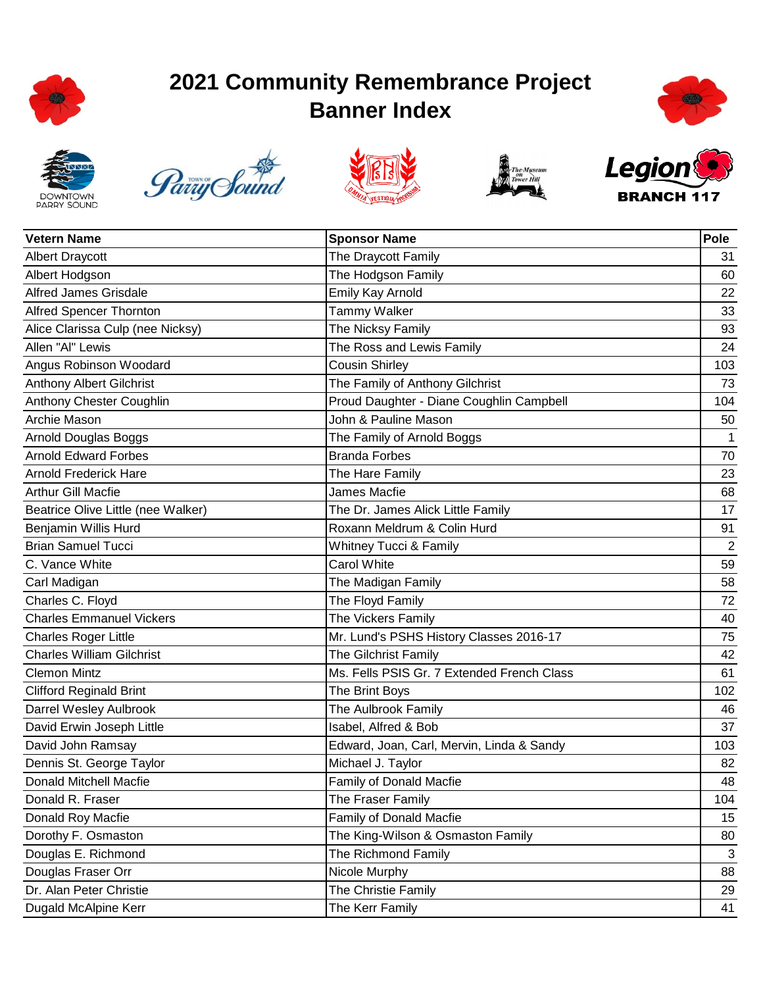

## **2021 Community Remembrance Project Banner Index**













| <b>Vetern Name</b>                 | <b>Sponsor Name</b>                        | Pole           |
|------------------------------------|--------------------------------------------|----------------|
| <b>Albert Draycott</b>             | The Draycott Family                        | 31             |
| Albert Hodgson                     | The Hodgson Family                         | 60             |
| <b>Alfred James Grisdale</b>       | Emily Kay Arnold                           | 22             |
| Alfred Spencer Thornton            | <b>Tammy Walker</b>                        | 33             |
| Alice Clarissa Culp (nee Nicksy)   | The Nicksy Family                          | 93             |
| Allen "Al" Lewis                   | The Ross and Lewis Family                  | 24             |
| Angus Robinson Woodard             | <b>Cousin Shirley</b>                      | 103            |
| Anthony Albert Gilchrist           | The Family of Anthony Gilchrist            | 73             |
| Anthony Chester Coughlin           | Proud Daughter - Diane Coughlin Campbell   | 104            |
| Archie Mason                       | John & Pauline Mason                       | 50             |
| Arnold Douglas Boggs               | The Family of Arnold Boggs                 | $\mathbf{1}$   |
| <b>Arnold Edward Forbes</b>        | <b>Branda Forbes</b>                       | 70             |
| <b>Arnold Frederick Hare</b>       | The Hare Family                            | 23             |
| <b>Arthur Gill Macfie</b>          | James Macfie                               | 68             |
| Beatrice Olive Little (nee Walker) | The Dr. James Alick Little Family          | 17             |
| <b>Benjamin Willis Hurd</b>        | Roxann Meldrum & Colin Hurd                | 91             |
| <b>Brian Samuel Tucci</b>          | Whitney Tucci & Family                     | $\overline{2}$ |
| C. Vance White                     | <b>Carol White</b>                         | 59             |
| Carl Madigan                       | The Madigan Family                         | 58             |
| Charles C. Floyd                   | The Floyd Family                           | 72             |
| <b>Charles Emmanuel Vickers</b>    | The Vickers Family                         | 40             |
| <b>Charles Roger Little</b>        | Mr. Lund's PSHS History Classes 2016-17    | 75             |
| <b>Charles William Gilchrist</b>   | The Gilchrist Family                       | 42             |
| <b>Clemon Mintz</b>                | Ms. Fells PSIS Gr. 7 Extended French Class | 61             |
| <b>Clifford Reginald Brint</b>     | The Brint Boys                             | 102            |
| Darrel Wesley Aulbrook             | The Aulbrook Family                        | 46             |
| David Erwin Joseph Little          | Isabel, Alfred & Bob                       | 37             |
| David John Ramsay                  | Edward, Joan, Carl, Mervin, Linda & Sandy  | 103            |
| Dennis St. George Taylor           | Michael J. Taylor                          | 82             |
| Donald Mitchell Macfie             | Family of Donald Macfie                    | 48             |
| Donald R. Fraser                   | The Fraser Family                          | 104            |
| Donald Roy Macfie                  | Family of Donald Macfie                    | 15             |
| Dorothy F. Osmaston                | The King-Wilson & Osmaston Family          | 80             |
| Douglas E. Richmond                | The Richmond Family                        | 3              |
| Douglas Fraser Orr                 | Nicole Murphy                              | 88             |
| Dr. Alan Peter Christie            | The Christie Family                        | 29             |
| Dugald McAlpine Kerr               | The Kerr Family                            | 41             |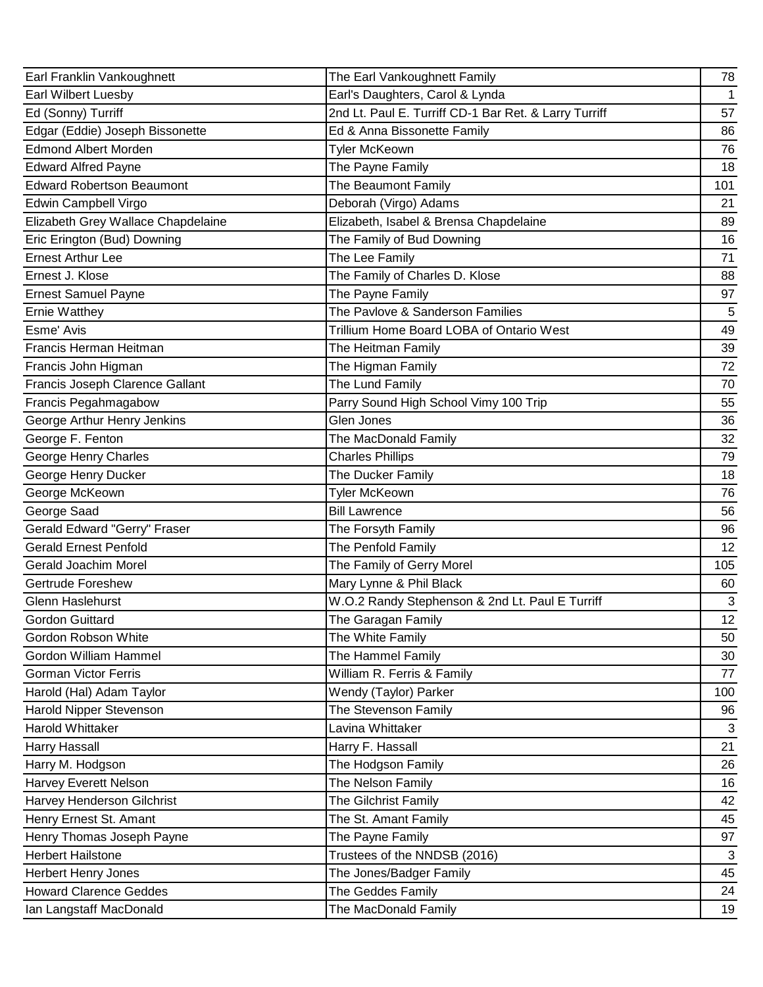| Earl Franklin Vankoughnett         | The Earl Vankoughnett Family                          | 78           |
|------------------------------------|-------------------------------------------------------|--------------|
| Earl Wilbert Luesby                | Earl's Daughters, Carol & Lynda                       | $\mathbf{1}$ |
| Ed (Sonny) Turriff                 | 2nd Lt. Paul E. Turriff CD-1 Bar Ret. & Larry Turriff | 57           |
| Edgar (Eddie) Joseph Bissonette    | Ed & Anna Bissonette Family                           | 86           |
| <b>Edmond Albert Morden</b>        | <b>Tyler McKeown</b>                                  | 76           |
| <b>Edward Alfred Payne</b>         | The Payne Family                                      | 18           |
| <b>Edward Robertson Beaumont</b>   | The Beaumont Family                                   | 101          |
| Edwin Campbell Virgo               | Deborah (Virgo) Adams                                 | 21           |
| Elizabeth Grey Wallace Chapdelaine | Elizabeth, Isabel & Brensa Chapdelaine                | 89           |
| Eric Erington (Bud) Downing        | The Family of Bud Downing                             | 16           |
| <b>Ernest Arthur Lee</b>           | The Lee Family                                        | 71           |
| Ernest J. Klose                    | The Family of Charles D. Klose                        | 88           |
| <b>Ernest Samuel Payne</b>         | The Payne Family                                      | 97           |
| <b>Ernie Watthey</b>               | The Pavlove & Sanderson Families                      | 5            |
| Esme' Avis                         | Trillium Home Board LOBA of Ontario West              | 49           |
| Francis Herman Heitman             | The Heitman Family                                    | 39           |
| Francis John Higman                | The Higman Family                                     | 72           |
| Francis Joseph Clarence Gallant    | The Lund Family                                       | 70           |
| Francis Pegahmagabow               | Parry Sound High School Vimy 100 Trip                 | 55           |
| George Arthur Henry Jenkins        | Glen Jones                                            | 36           |
| George F. Fenton                   | The MacDonald Family                                  | 32           |
| George Henry Charles               | <b>Charles Phillips</b>                               | 79           |
| George Henry Ducker                | The Ducker Family                                     | 18           |
| George McKeown                     | Tyler McKeown                                         | 76           |
| George Saad                        | <b>Bill Lawrence</b>                                  | 56           |
| Gerald Edward "Gerry" Fraser       | The Forsyth Family                                    | 96           |
| <b>Gerald Ernest Penfold</b>       | The Penfold Family                                    | 12           |
| Gerald Joachim Morel               | The Family of Gerry Morel                             | 105          |
| <b>Gertrude Foreshew</b>           | Mary Lynne & Phil Black                               | 60           |
| Glenn Haslehurst                   | W.O.2 Randy Stephenson & 2nd Lt. Paul E Turriff       | $\sqrt{3}$   |
| <b>Gordon Guittard</b>             | The Garagan Family                                    | 12           |
| Gordon Robson White                | The White Family                                      | 50           |
| Gordon William Hammel              | The Hammel Family                                     | 30           |
| <b>Gorman Victor Ferris</b>        | William R. Ferris & Family                            | 77           |
| Harold (Hal) Adam Taylor           | Wendy (Taylor) Parker                                 | 100          |
| Harold Nipper Stevenson            | The Stevenson Family                                  | 96           |
| Harold Whittaker                   | Lavina Whittaker                                      | 3            |
| Harry Hassall                      | Harry F. Hassall                                      | 21           |
| Harry M. Hodgson                   | The Hodgson Family                                    | 26           |
| Harvey Everett Nelson              | The Nelson Family                                     | 16           |
| Harvey Henderson Gilchrist         | The Gilchrist Family                                  | 42           |
| Henry Ernest St. Amant             | The St. Amant Family                                  | 45           |
| Henry Thomas Joseph Payne          | The Payne Family                                      | 97           |
| <b>Herbert Hailstone</b>           | Trustees of the NNDSB (2016)                          | 3            |
| <b>Herbert Henry Jones</b>         | The Jones/Badger Family                               | 45           |
| <b>Howard Clarence Geddes</b>      | The Geddes Family                                     | 24           |
| Ian Langstaff MacDonald            | The MacDonald Family                                  | 19           |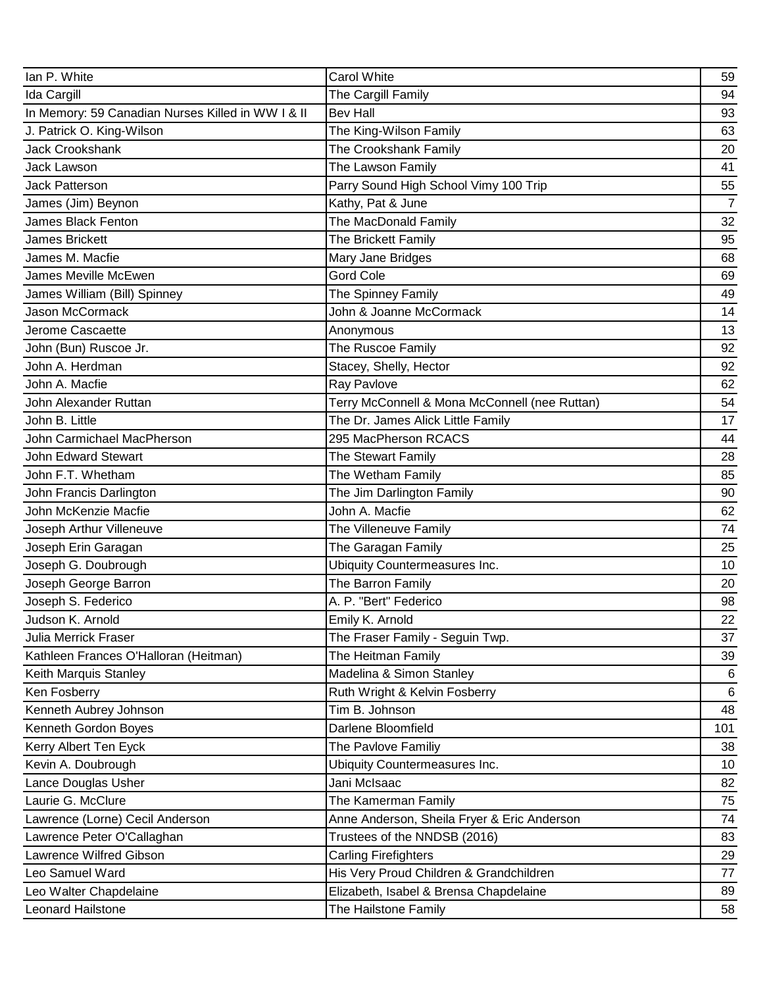| Ian P. White                                      | <b>Carol White</b>                            | 59             |
|---------------------------------------------------|-----------------------------------------------|----------------|
| Ida Cargill                                       | The Cargill Family                            | 94             |
| In Memory: 59 Canadian Nurses Killed in WW I & II | <b>Bev Hall</b>                               | 93             |
| J. Patrick O. King-Wilson                         | The King-Wilson Family                        | 63             |
| <b>Jack Crookshank</b>                            | The Crookshank Family                         | 20             |
| Jack Lawson                                       | The Lawson Family                             | 41             |
| Jack Patterson                                    | Parry Sound High School Vimy 100 Trip         | 55             |
| James (Jim) Beynon                                | Kathy, Pat & June                             | $\overline{7}$ |
| James Black Fenton                                | The MacDonald Family                          | 32             |
| James Brickett                                    | The Brickett Family                           | 95             |
| James M. Macfie                                   | Mary Jane Bridges                             | 68             |
| James Meville McEwen                              | <b>Gord Cole</b>                              | 69             |
| James William (Bill) Spinney                      | The Spinney Family                            | 49             |
| Jason McCormack                                   | John & Joanne McCormack                       | 14             |
| Jerome Cascaette                                  | Anonymous                                     | 13             |
| John (Bun) Ruscoe Jr.                             | The Ruscoe Family                             | 92             |
| John A. Herdman                                   | Stacey, Shelly, Hector                        | 92             |
| John A. Macfie                                    | Ray Pavlove                                   | 62             |
| John Alexander Ruttan                             | Terry McConnell & Mona McConnell (nee Ruttan) | 54             |
| John B. Little                                    | The Dr. James Alick Little Family             | 17             |
| John Carmichael MacPherson                        | 295 MacPherson RCACS                          | 44             |
| John Edward Stewart                               | The Stewart Family                            | 28             |
| John F.T. Whetham                                 | The Wetham Family                             | 85             |
| John Francis Darlington                           | The Jim Darlington Family                     | 90             |
| John McKenzie Macfie                              | John A. Macfie                                | 62             |
| Joseph Arthur Villeneuve                          | The Villeneuve Family                         | 74             |
| Joseph Erin Garagan                               | The Garagan Family                            | 25             |
| Joseph G. Doubrough                               | <b>Ubiquity Countermeasures Inc.</b>          | 10             |
| Joseph George Barron                              | The Barron Family                             | 20             |
| Joseph S. Federico                                | A. P. "Bert" Federico                         | 98             |
| Judson K. Arnold                                  | Emily K. Arnold                               | 22             |
| <b>Julia Merrick Fraser</b>                       | The Fraser Family - Seguin Twp.               | 37             |
| Kathleen Frances O'Halloran (Heitman)             | The Heitman Family                            | 39             |
| Keith Marquis Stanley                             | Madelina & Simon Stanley                      | 6              |
| Ken Fosberry                                      | Ruth Wright & Kelvin Fosberry                 | $\,6$          |
| Kenneth Aubrey Johnson                            | Tim B. Johnson                                | 48             |
| Kenneth Gordon Boyes                              | Darlene Bloomfield                            | 101            |
| Kerry Albert Ten Eyck                             | The Pavlove Familiy                           | 38             |
| Kevin A. Doubrough                                | Ubiquity Countermeasures Inc.                 | 10             |
| Lance Douglas Usher                               | Jani McIsaac                                  | 82             |
| Laurie G. McClure                                 | The Kamerman Family                           | 75             |
| Lawrence (Lorne) Cecil Anderson                   | Anne Anderson, Sheila Fryer & Eric Anderson   | 74             |
| Lawrence Peter O'Callaghan                        | Trustees of the NNDSB (2016)                  | 83             |
| Lawrence Wilfred Gibson                           | <b>Carling Firefighters</b>                   | 29             |
| Leo Samuel Ward                                   | His Very Proud Children & Grandchildren       | 77             |
| Leo Walter Chapdelaine                            | Elizabeth, Isabel & Brensa Chapdelaine        | 89             |
| Leonard Hailstone                                 | The Hailstone Family                          | 58             |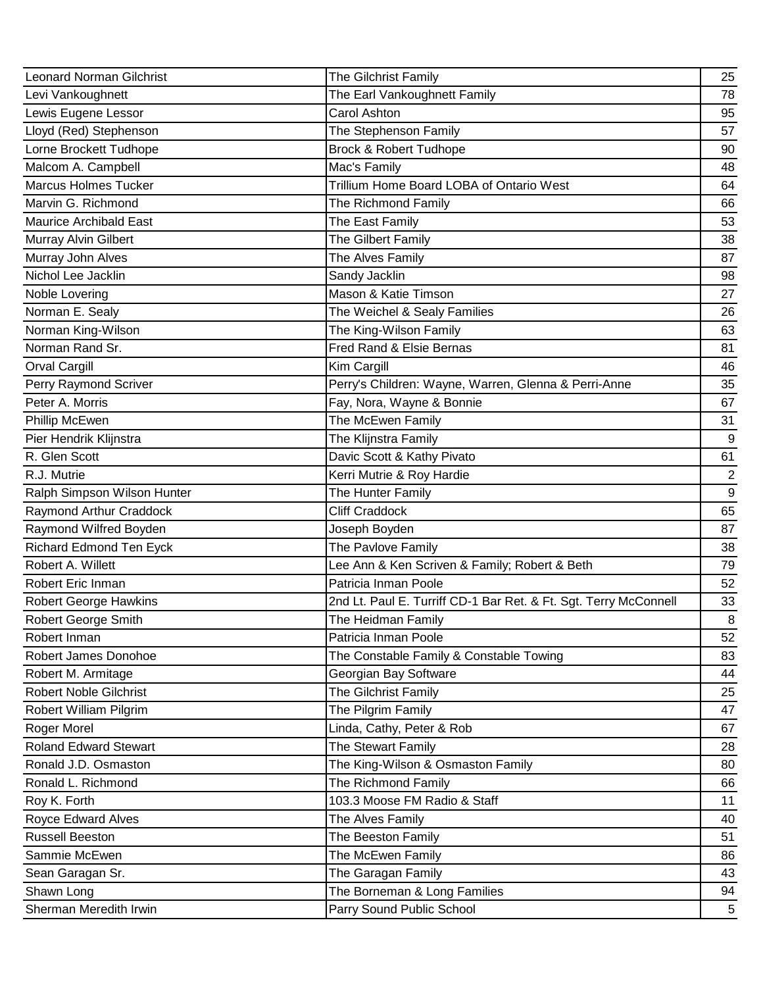| <b>Leonard Norman Gilchrist</b> | The Gilchrist Family                                             | 25           |
|---------------------------------|------------------------------------------------------------------|--------------|
| Levi Vankoughnett               | The Earl Vankoughnett Family                                     | 78           |
| Lewis Eugene Lessor             | Carol Ashton                                                     | 95           |
| Lloyd (Red) Stephenson          | The Stephenson Family                                            | 57           |
| Lorne Brockett Tudhope          | <b>Brock &amp; Robert Tudhope</b>                                | 90           |
| Malcom A. Campbell              | Mac's Family                                                     | 48           |
| <b>Marcus Holmes Tucker</b>     | Trillium Home Board LOBA of Ontario West                         | 64           |
| Marvin G. Richmond              | The Richmond Family                                              | 66           |
| <b>Maurice Archibald East</b>   | The East Family                                                  | 53           |
| Murray Alvin Gilbert            | The Gilbert Family                                               | 38           |
| Murray John Alves               | The Alves Family                                                 | 87           |
| Nichol Lee Jacklin              | Sandy Jacklin                                                    | 98           |
| Noble Lovering                  | Mason & Katie Timson                                             | 27           |
| Norman E. Sealy                 | The Weichel & Sealy Families                                     | 26           |
| Norman King-Wilson              | The King-Wilson Family                                           | 63           |
| Norman Rand Sr.                 | Fred Rand & Elsie Bernas                                         | 81           |
| <b>Orval Cargill</b>            | Kim Cargill                                                      | 46           |
| Perry Raymond Scriver           | Perry's Children: Wayne, Warren, Glenna & Perri-Anne             | 35           |
| Peter A. Morris                 | Fay, Nora, Wayne & Bonnie                                        | 67           |
| Phillip McEwen                  | The McEwen Family                                                | 31           |
| Pier Hendrik Klijnstra          | The Klijnstra Family                                             | 9            |
| R. Glen Scott                   | Davic Scott & Kathy Pivato                                       | 61           |
| R.J. Mutrie                     | Kerri Mutrie & Roy Hardie                                        | $\mathbf{2}$ |
| Ralph Simpson Wilson Hunter     | The Hunter Family                                                | 9            |
| Raymond Arthur Craddock         | <b>Cliff Craddock</b>                                            | 65           |
| Raymond Wilfred Boyden          | Joseph Boyden                                                    | 87           |
| Richard Edmond Ten Eyck         | The Pavlove Family                                               | 38           |
| Robert A. Willett               | Lee Ann & Ken Scriven & Family; Robert & Beth                    | 79           |
| Robert Eric Inman               | Patricia Inman Poole                                             | 52           |
| <b>Robert George Hawkins</b>    | 2nd Lt. Paul E. Turriff CD-1 Bar Ret. & Ft. Sgt. Terry McConnell | 33           |
| <b>Robert George Smith</b>      | The Heidman Family                                               | 8            |
| Robert Inman                    | Patricia Inman Poole                                             | 52           |
| Robert James Donohoe            | The Constable Family & Constable Towing                          | 83           |
| Robert M. Armitage              | Georgian Bay Software                                            | 44           |
| <b>Robert Noble Gilchrist</b>   | The Gilchrist Family                                             | 25           |
| Robert William Pilgrim          | The Pilgrim Family                                               | 47           |
| Roger Morel                     | Linda, Cathy, Peter & Rob                                        | 67           |
| <b>Roland Edward Stewart</b>    | The Stewart Family                                               | 28           |
| Ronald J.D. Osmaston            | The King-Wilson & Osmaston Family                                | 80           |
| Ronald L. Richmond              | The Richmond Family                                              | 66           |
| Roy K. Forth                    | 103.3 Moose FM Radio & Staff                                     | 11           |
| Royce Edward Alves              | The Alves Family                                                 | 40           |
| <b>Russell Beeston</b>          | The Beeston Family                                               | 51           |
| Sammie McEwen                   | The McEwen Family                                                | 86           |
| Sean Garagan Sr.                | The Garagan Family                                               | 43           |
| Shawn Long                      | The Borneman & Long Families                                     | 94           |
| Sherman Meredith Irwin          | Parry Sound Public School                                        | 5            |